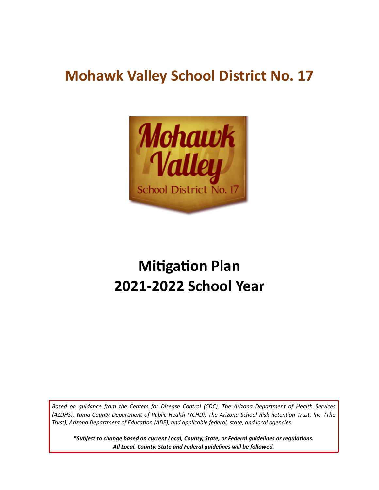# **Mohawk Valley School District No. 17**



# **Mitigation Plan 2021-2022 School Year**

*Based on guidance from the Centers for Disease Control (CDC), The Arizona Department of Health Services (AZDHS), Yuma County Department of Public Health (YCHD), The Arizona School Risk Retention Trust, Inc. (The Trust), Arizona Department of Education (ADE), and applicable federal, state, and local agencies.* 

*\*Subject to change based on current Local, County, State, or Federal guidelines or regula9ons. All Local, County, State and Federal guidelines will be followed.*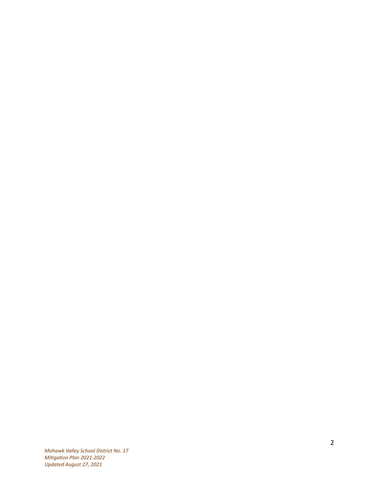*Mohawk Valley School District No. 17 MiFgaFon Plan 2021-2022 Updated August 27, 2021*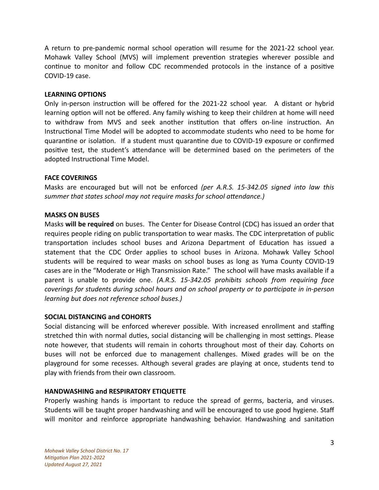A return to pre-pandemic normal school operation will resume for the 2021-22 school year. Mohawk Valley School (MVS) will implement prevention strategies wherever possible and continue to monitor and follow CDC recommended protocols in the instance of a positive COVID-19 case.

#### **LEARNING OPTIONS**

Only in-person instruction will be offered for the 2021-22 school year. A distant or hybrid learning option will not be offered. Any family wishing to keep their children at home will need to withdraw from MVS and seek another institution that offers on-line instruction. An Instructional Time Model will be adopted to accommodate students who need to be home for quarantine or isolation. If a student must quarantine due to COVID-19 exposure or confirmed positive test, the student's attendance will be determined based on the perimeters of the adopted Instructional Time Model.

#### **FACE COVERINGS**

Masks are encouraged but will not be enforced *(per A.R.S. 15-342.05 signed into law this*  summer that states school may not require masks for school attendance.)

#### **MASKS ON BUSES**

Masks **will be required** on buses. The Center for Disease Control (CDC) has issued an order that requires people riding on public transportation to wear masks. The CDC interpretation of public transportation includes school buses and Arizona Department of Education has issued a statement that the CDC Order applies to school buses in Arizona. Mohawk Valley School students will be required to wear masks on school buses as long as Yuma County COVID-19 cases are in the "Moderate or High Transmission Rate." The school will have masks available if a parent is unable to provide one. *(A.R.S. 15-342.05 prohibits schools from requiring face*  coverings for students during school hours and on school property or to participate in in-person *learning but does not reference school buses.)*

# **SOCIAL DISTANCING and COHORTS**

Social distancing will be enforced wherever possible. With increased enrollment and staffing stretched thin with normal duties, social distancing will be challenging in most settings. Please note however, that students will remain in cohorts throughout most of their day. Cohorts on buses will not be enforced due to management challenges. Mixed grades will be on the playground for some recesses. Although several grades are playing at once, students tend to play with friends from their own classroom.

# **HANDWASHING and RESPIRATORY ETIQUETTE**

Properly washing hands is important to reduce the spread of germs, bacteria, and viruses. Students will be taught proper handwashing and will be encouraged to use good hygiene. Staff will monitor and reinforce appropriate handwashing behavior. Handwashing and sanitation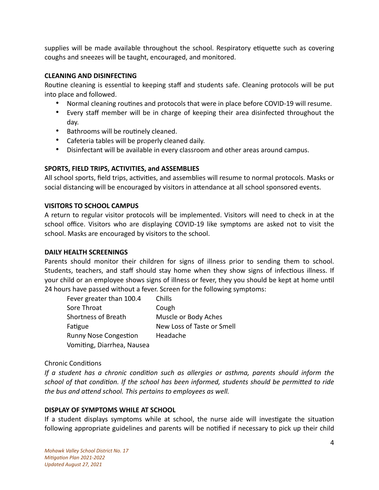supplies will be made available throughout the school. Respiratory etiquette such as covering coughs and sneezes will be taught, encouraged, and monitored.

#### **CLEANING AND DISINFECTING**

Routine cleaning is essential to keeping staff and students safe. Cleaning protocols will be put into place and followed.

- Normal cleaning routines and protocols that were in place before COVID-19 will resume.
- Every staff member will be in charge of keeping their area disinfected throughout the day.
- Bathrooms will be routinely cleaned.
- Cafeteria tables will be properly cleaned daily.
- Disinfectant will be available in every classroom and other areas around campus.

# **SPORTS, FIELD TRIPS, ACTIVITIES, and ASSEMBLIES**

All school sports, field trips, activities, and assemblies will resume to normal protocols. Masks or social distancing will be encouraged by visitors in attendance at all school sponsored events.

#### **VISITORS TO SCHOOL CAMPUS**

A return to regular visitor protocols will be implemented. Visitors will need to check in at the school office. Visitors who are displaying COVID-19 like symptoms are asked not to visit the school. Masks are encouraged by visitors to the school.

#### **DAILY HEALTH SCREENINGS**

Parents should monitor their children for signs of illness prior to sending them to school. Students, teachers, and staff should stay home when they show signs of infectious illness. If your child or an employee shows signs of illness or fever, they you should be kept at home until 24 hours have passed without a fever. Screen for the following symptoms:

| Fever greater than 100.4     | Chills                     |
|------------------------------|----------------------------|
| Sore Throat                  | Cough                      |
| <b>Shortness of Breath</b>   | Muscle or Body Aches       |
| Fatigue                      | New Loss of Taste or Smell |
| <b>Runny Nose Congestion</b> | Headache                   |
| Vomiting, Diarrhea, Nausea   |                            |

#### Chronic Conditions

*If a student has a chronic condition such as allergies or asthma, parents should inform the* school of that condition. If the school has been informed, students should be permitted to ride the bus and attend school. This pertains to employees as well.

# **DISPLAY OF SYMPTOMS WHILE AT SCHOOL**

If a student displays symptoms while at school, the nurse aide will investigate the situation following appropriate guidelines and parents will be notified if necessary to pick up their child